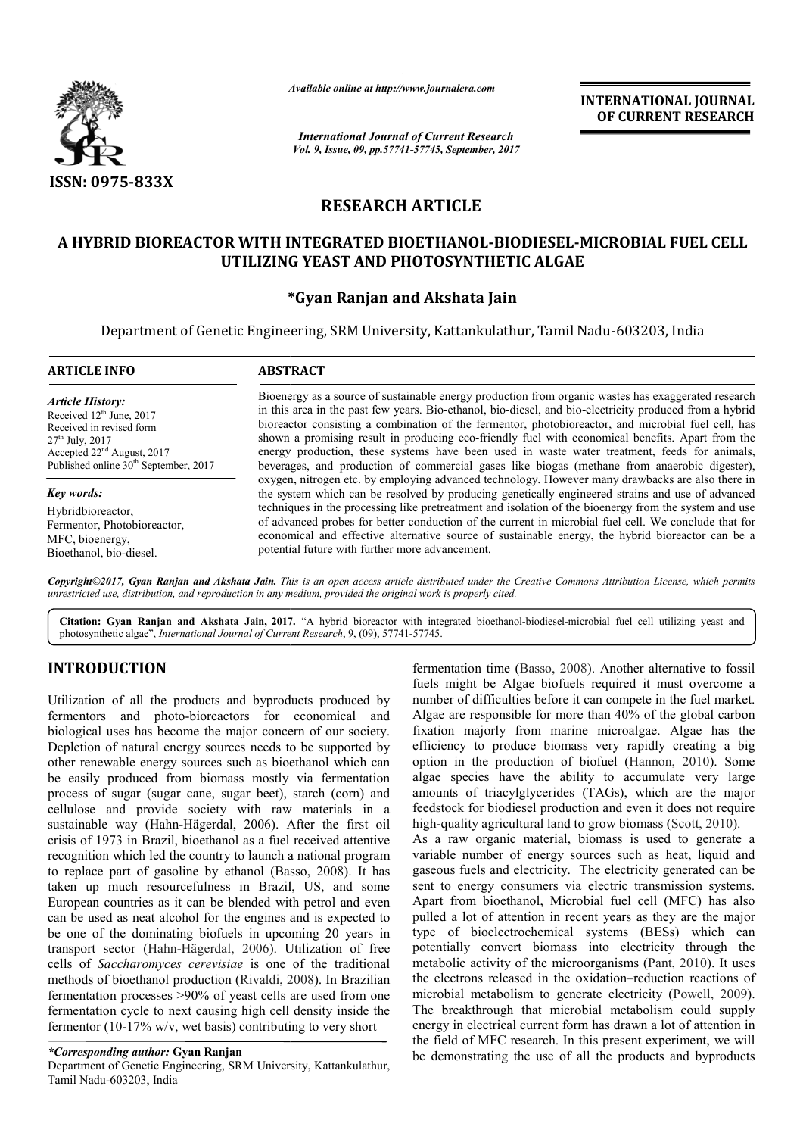

*Available online at http://www.journal http://www.journalcra.com*

*International Journal of Current Research Vol. 9, Issue, 09, pp.57741-57745, September, 2017* **INTERNATIONAL JOURNAL OF CURRENT RESEARCH** 

# **RESEARCH ARTICLE**

## **A HYBRID BIOREACTOR WITH INTEGRATED BIOETHANOL BIOETHANOL-BIODIESEL-MICROBIAL FUEL CELL MICROBIAL FUEL UTILIZING YEAST AND PHOTOSYNTHETIC ALGAE**

# **\* \*Gyan Ranjan and Akshata Jain**

Department of Genetic Engineering, SRM University, Kattankulathur, Tamil Nadu Nadu-603203, India

| <b>ARTICLE INFO</b>                                                                                                                                                                         | <b>ABSTRACT</b>                                                                                                                                                                                                                                                                                                                                                                                                                                                                                                                                                                                                                                                                                                                                                                                                                                                                                                                                                                                                                                                                                                                                                                                            |
|---------------------------------------------------------------------------------------------------------------------------------------------------------------------------------------------|------------------------------------------------------------------------------------------------------------------------------------------------------------------------------------------------------------------------------------------------------------------------------------------------------------------------------------------------------------------------------------------------------------------------------------------------------------------------------------------------------------------------------------------------------------------------------------------------------------------------------------------------------------------------------------------------------------------------------------------------------------------------------------------------------------------------------------------------------------------------------------------------------------------------------------------------------------------------------------------------------------------------------------------------------------------------------------------------------------------------------------------------------------------------------------------------------------|
| <b>Article History:</b><br>Received $12th$ June, 2017<br>Received in revised form<br>$27th$ July, 2017<br>Accepted $22nd$ August, 2017<br>Published online 30 <sup>th</sup> September, 2017 | Bioenergy as a source of sustainable energy production from organic wastes has exaggerated research<br>in this area in the past few years. Bio-ethanol, bio-diesel, and bio-electricity produced from a hybrid<br>bioreactor consisting a combination of the fermentor, photobioreactor, and microbial fuel cell, has<br>shown a promising result in producing eco-friendly fuel with economical benefits. Apart from the<br>energy production, these systems have been used in waste water treatment, feeds for animals,<br>beverages, and production of commercial gases like biogas (methane from anaerobic digester),<br>oxygen, nitrogen etc. by employing advanced technology. However many drawbacks are also there in<br>the system which can be resolved by producing genetically engineered strains and use of advanced<br>techniques in the processing like pretreatment and isolation of the bioenergy from the system and use<br>of advanced probes for better conduction of the current in microbial fuel cell. We conclude that for<br>economical and effective alternative source of sustainable energy, the hybrid bioreactor can be a<br>potential future with further more advancement. |
| Key words:                                                                                                                                                                                  |                                                                                                                                                                                                                                                                                                                                                                                                                                                                                                                                                                                                                                                                                                                                                                                                                                                                                                                                                                                                                                                                                                                                                                                                            |
| Hybridbioreactor,<br>Fermentor, Photobioreactor,<br>MFC, bioenergy,<br>Bioethanol, bio-diesel.                                                                                              |                                                                                                                                                                                                                                                                                                                                                                                                                                                                                                                                                                                                                                                                                                                                                                                                                                                                                                                                                                                                                                                                                                                                                                                                            |

*Copyright©2017, Gyan Ranjan and Akshata Jain. This is an open access article distributed under the Creative Commons Att is open Attribution License, which permits unrestricted use, distribution, and reproduction in any medium, provided the original work is properly cited.*

Citation: Gyan Ranjan and Akshata Jain, 2017. "A hybrid bioreactor with integrated bioethanol-biodiesel-microbial fuel cell utilizing yeast and photosynthetic algae", *International Journal of Current Research* , 9, (09), 57741-57745.

# **INTRODUCTION**

Utilization of all the products and byproducts produced by fermentors and photo-bioreactors for economical and biological uses has become the major concern of our society. Depletion of natural energy sources needs to be supported by other renewable energy sources such as bioethanol which can be easily produced from biomass mostly via fermentation process of sugar (sugar cane, sugar beet), starch (corn) and cellulose and provide society with raw materials in a sustainable way (Hahn-Hägerdal, 2006). After the first oil crisis of 1973 in Brazil, bioethanol as a fuel received at recognition which led the country to launch a national program to replace part of gasoline by ethanol (Basso, 2008). It has taken up much resourcefulness in Brazil, US, and some European countries as it can be blended with petrol and even can be used as neat alcohol for the engines and is expected to be one of the dominating biofuels in upcoming 20 years in transport sector (Hahn-Hägerdal, 2006). Utilization of free cells of *Saccharomyces cerevisiae* is one of the traditional methods of bioethanol production (Rivaldi, 2008 fermentation processes >90% of yeast cells are used from one fermentation cycle to next causing high cell density inside the fermentor (10-17% w/v, wet basis) contributing to very short fermentor (10-17% w/v, wet basis) contributing to very short<br>
\*Corresponding author: Gyan Ranjan<br>
Department of Genetic Engineering, SRM University, Kattankulathur, bioreactors for economical and<br>ne the major concern of our society.<br>gy sources needs to be supported by<br>burces such as bioethanol which can<br>n biomass mostly via fermentation sugar cane, sugar beet), starch (corn) and<br>byide society with raw materials in a<br>Hahn-Hägerdal, 2006). After the first oil<br>razil, bioethanol as a fuel received attentive ed as neat alcohol for the engines and is expected to<br>f the dominating biofuels in upcoming 20 years in<br>sector (Hahn-Hägerdal, 2006). Utilization of free<br>Saccharomyces cerevisiae is one of the traditional<br>of bioethanol pro

### *\*Corresponding author:* **Gyan Ranjan**

Tamil Nadu-603203, India

fermentation time (Basso, 2008 , 2008). Another alternative to fossil fuels might be Algae biofuels required it must overcome a fuels might be Algae biofuels required it must overcome a number of difficulties before it can compete in the fuel market. Algae are responsible for more than 40% of the global carbon Algae are responsible for more than 40% of the global carbon fixation majorly from marine microalgae. Algae has the efficiency to produce biomass very rapidly creating a big efficiency to produce biomass very rapidly creating a big option in the production of biofuel (Hannon, 2010). Some algae species have the ability to accumulate very large amounts of triacylglycerides (TAGs), which are the major feedstock for biodiesel production and even it does not require high-quality agricultural land to grow biomass (Scott, 2010). As a raw organic material, biomass is used to generate a species have the ability to accumulate very laints of triacylglycerides (TAGs), which are the matock for biodiesel production and even it does not requality agricultural land to grow biomass (Scott, 2010).

variable number of energy sources such as heat, liquid and gaseous fuels and electricity. The electricity generated can be sent to energy consumers via electric transmission systems. Apart from bioethanol, Microbial fuel cell (MFC) has also pulled a lot of attention in recent years as they are the major type of bioelectrochemical systems (BESs) which can Apart from bioethanol, Microbial fuel cell (MFC) has also pulled a lot of attention in recent years as they are the major type of bioelectrochemical systems (BESs) which can potentially convert biomass into electricity thr metabolic activity of the microorganisms (Pant, 2010). It uses the electrons released in the oxidation–reduction reactions of microbial metabolism to generate electricity (Powell, 2009). The breakthrough that microbial metabolism could supply The breakthrough that microbial metabolism could supply energy in electrical current form has drawn a lot of attention in the field of MFC research. In this present experiment, we will be demonstrating the use of all the products and byproducts As a raw organic material, biomass is used to generate a variable number of energy sources such as heat, liquid and gaseous fuels and electricity. The electricity generated can be sent to energy consumers via electric tran In use byproducts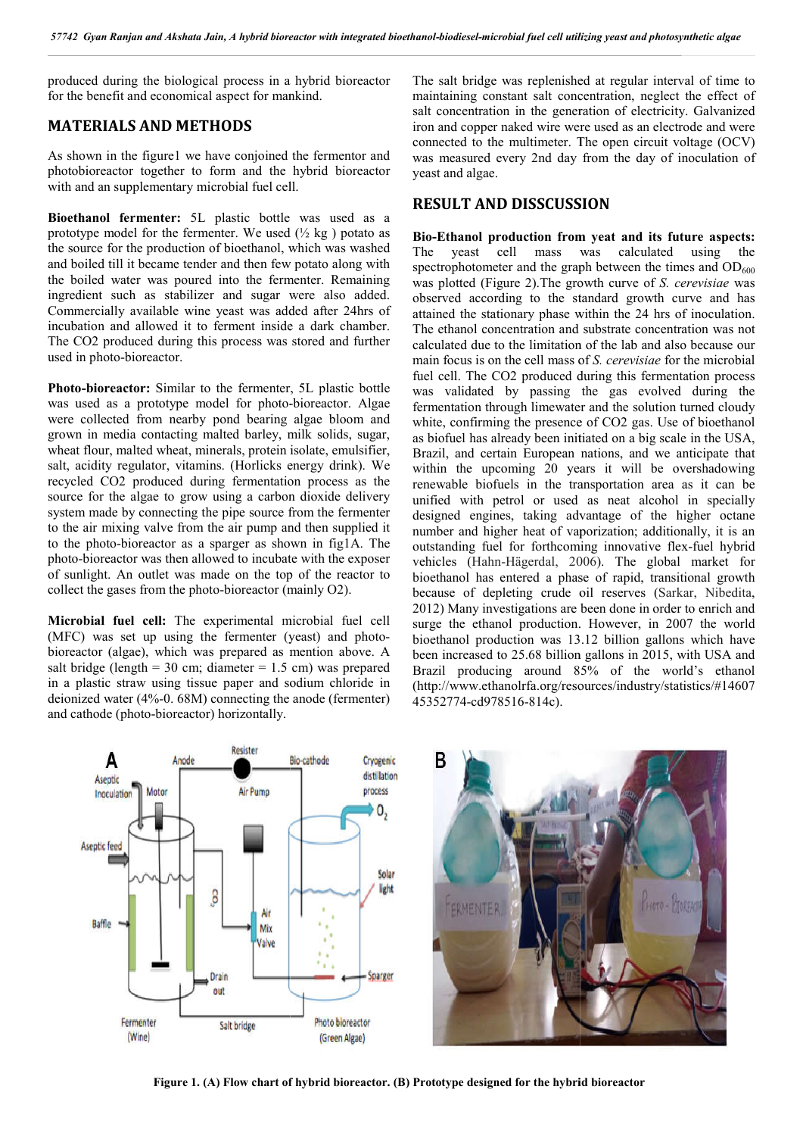produced during the biological process in a hybrid bioreactor for the benefit and economical aspect for mankind.

### **MATERIALS AND METHODS**

As shown in the figure1 we have conjoined the fermentor and photobioreactor together to form and the hybrid bioreactor with and an supplementary microbial fuel cell.

**Bioethanol fermenter:** 5L plastic bottle was used as a prototype model for the fermenter. We used  $(\frac{1}{2}$  kg) potato as the source for the production of bioethanol, which was washed and boiled till it became tender and then few potato along with the boiled water was poured into the fermenter. Remaining ingredient such as stabilizer and sugar were also added. Commercially available wine yeast was added after 24hrs of incubation and allowed it to ferment inside a dark chamber. The CO2 produced during this process was stored and further used in photo-bioreactor. menter. We used  $(\frac{1}{2} \text{ kg})$  potato as<br>n of bioethanol, which was washed<br>der and then few potato along with<br>red into the fermenter. Remaining<br>zer and sugar were also added.<br>ne yeast was added after 24hrs of<br>to ferment i

**Photo-bioreactor:** Similar to the fermenter, 5L plastic bottle was used as a prototype model for photo-bioreactor. Algae were collected from nearby pond bearing algae bloom and grown in media contacting malted barley, milk solids, sugar, wheat flour, malted wheat, minerals, protein isolate, emulsifier, salt, acidity regulator, vitamins. (Horlicks energy drink). We recycled CO2 produced during fermentation process as the source for the algae to grow using a carbon dioxide delivery system made by connecting the pipe source from the fermenter to the air mixing valve from the air pump and then supplied it to the photo-bioreactor as a sparger as shown in fig1A. The photo-bioreactor was then allowed to incubate with the exposer of sunlight. An outlet was made on the top of the reactor to photo-bioreactor was then allowed to incubate with the exposer of sunlight. An outlet was made on the top of the react collect the gases from the photo-bioreactor (mainly O2).

**Microbial fuel cell:** The experimental microbial fuel cell (MFC) was set up using the fermenter (yeast) and photo bioreactor (algae), which was prepared as mention above. A salt bridge (length =  $30 \text{ cm}$ ; diameter =  $1.5 \text{ cm}$ ) was prepared in a plastic straw using tissue paper and sodium chloride in deionized water (4%-0. 68M) connecting the anode (fermenter) and cathode (photo-bioreactor) horizontally. bioreactor (mainly O2).<br>erimental microbial fuel cell<br>fermenter (yeast) and photo-

maintaining constant salt concentration, neglect the effect of salt concentration in the generation of electricity. Galvanized iron and copper naked wire were used as an electrode and were connected to the multimeter. The open circuit voltage (OCV) was measured every 2nd day from the day of inoculation of yeast and algae. entration in the generation of electricity. Galvanized copper naked wire were used as an electrode and were d to the multimeter. The open circuit voltage (OCV) sured every 2nd day from the day of inoculation of

### **RESULT AND DISSCUSSION**

ibiological mores in a hybrid biorecator manimum has persintined at regular interval of time to the salt bridge was replending the salt of the salt of the salt of the salt of the salt of the salt of the salt of the salt of Bio-Ethanol production from yeat and its future aspects: The yeast cell mass was calculated using the spectrophotometer and the graph between the times and  $OD_{600}$ was plotted (Figure 2). The growth curve of *S. cerevisiae* was observed according to the standard growth curve and has attained the stationary phase within the 24 hrs of inoculation. The ethanol concentration and substrate concentration was not calculated due to the limitation of the lab and also because our main focus is on the cell mass of *S. cerevisiae* for the microbial fuel cell. The CO2 produced during this fermentation process was validated by passing the gas evolved during the was validated by passing the gas evolved during the fermentation through limewater and the solution turned cloudy white, confirming the presence of CO2 gas. Use of bioethanol as biofuel has already been initiated on a big scale in the USA, Brazil, and certain European nations, and we anticipate that within the upcoming 20 years it will be overshadowing renewable biofuels in the transportation area as it can be unified with petrol or used as neat alcohol in specially designed engines, taking advantage of the higher octane number and higher heat of vaporization; additionally, it is an outstanding fuel for forthcoming innovative flex vehicles (Hahn-Hägerdal, 2006 , 2006). The global market for bioethanol has entered a phase of rapid, transitional growth because of depleting crude oil reserves (Sarkar, Nibedita, 2012) Many investigations are been done in order to enrich and surge the ethanol production. However, in 2007 the world bioethanol production was 13.12 billion gallons which have been increased to 25.68 billion gallons in 2015, with USA and Brazil producing around 85% of the world's ethanol (http://www.ethanolrfa.org/resources/industry/statistics/#14607 45352774-cd978516-814c). y phase within the 24 hrs of inoculation.<br>ation and substrate concentration was not<br>limitation of the lab and also because our white, confirming the presence of CO2 gas. Use of bioethanol as biofuel has already been initiated on a big scale in the USA, Brazil, and certain European nations, and we anticipate that within the upcoming 20 years it wil biofuels in the transportation area as it can be the petrol or used as neat alcohol in specially ngines, taking advantage of the higher octane I higher heat of vaporization; additionally, it is an fuel for forthcoming inno in been increased to 25.68 billion gallons in 2015, with USA and<br>Brazil producing around 85% of the world's ethanol<br>http://www.ethanolrfa.org/resources/industry/statistics/#14607





**Figure 1. (A) Flow chart of hybrid bioreactor. (B) Prototype designed for the hybrid bioreactor**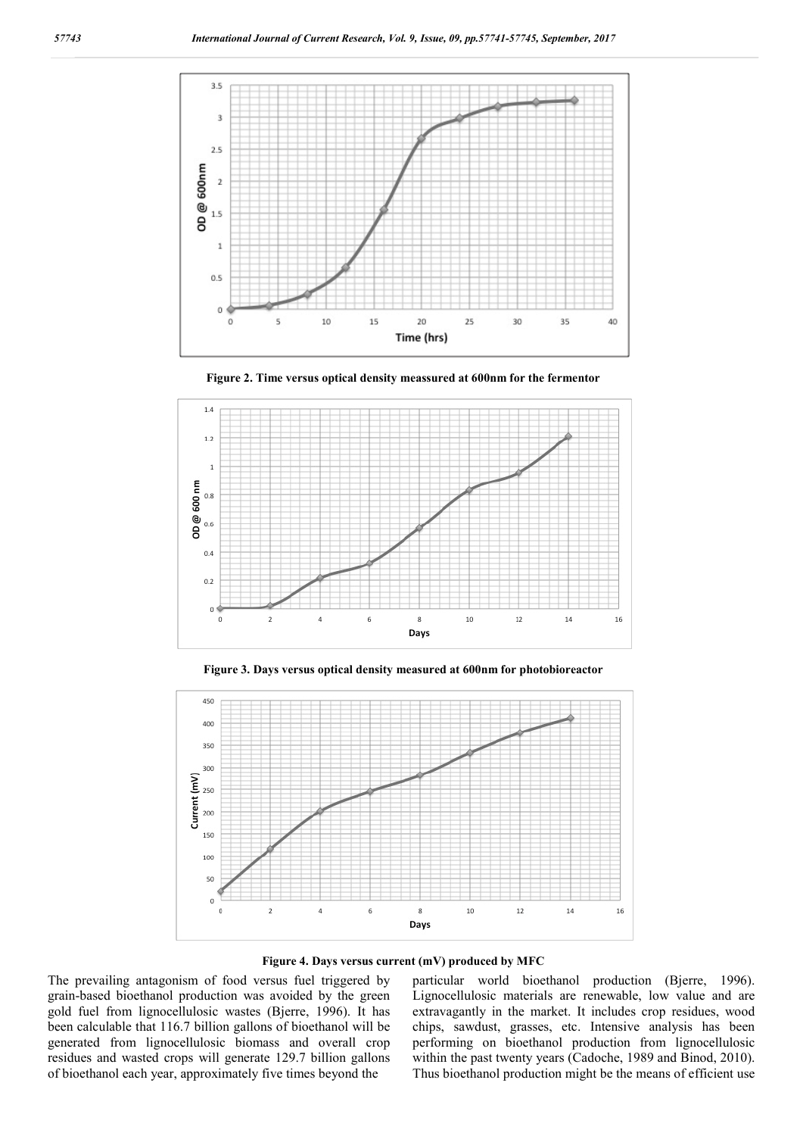





**Figure 3. Days versus optical density measured at 600nm for photobioreactor**



**Figure 4. Days versus current (mV) produced by MFC**

The prevailing antagonism of food versus fuel triggered by grain-based bioethanol production was avoided by the green gold fuel from lignocellulosic wastes (Bjerre, 1996). It has been calculable that 116.7 billion gallons of bioethanol will be generated from lignocellulosic biomass and overall crop residues and wasted crops will generate 129.7 billion gallons of bioethanol each year, approximately five times beyond the

particular world bioethanol production (Bjerre, 1996). Lignocellulosic materials are renewable, low value and are extravagantly in the market. It includes crop residues, wood chips, sawdust, grasses, etc. Intensive analysis has been performing on bioethanol production from lignocellulosic within the past twenty years (Cadoche, 1989 and Binod, 2010). Thus bioethanol production might be the means of efficient use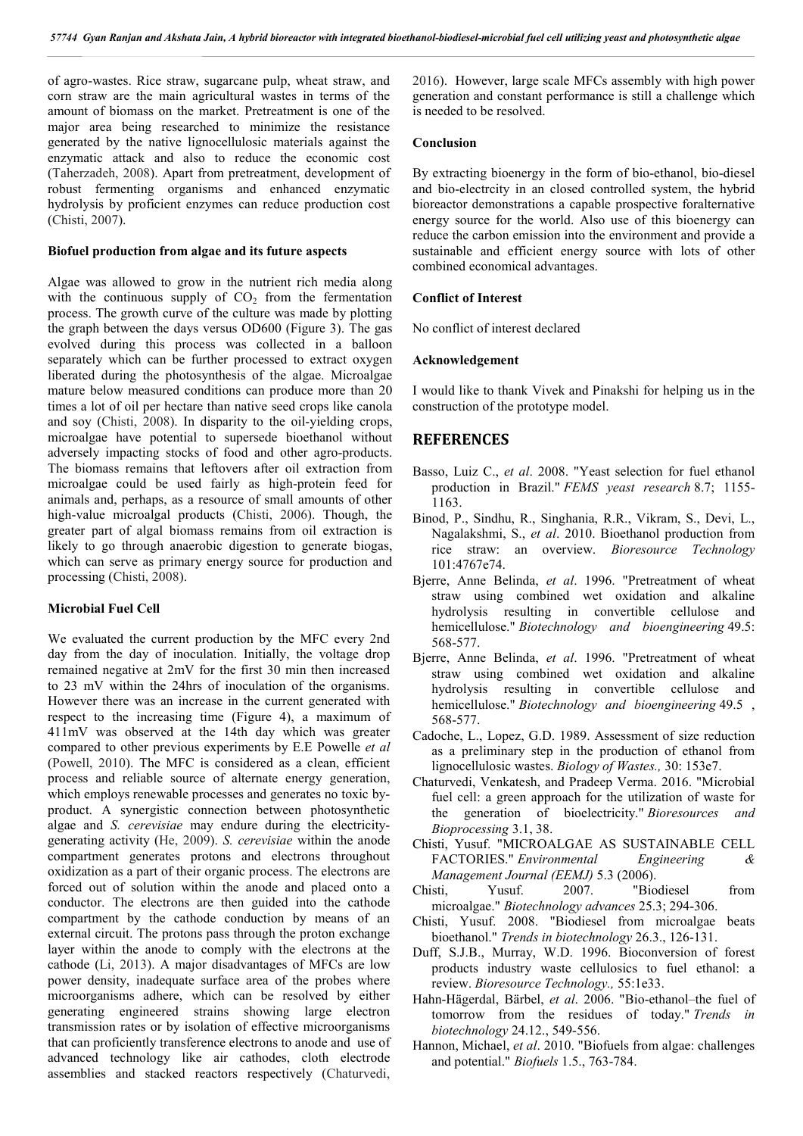of agro-wastes. Rice straw, sugarcane pulp, wheat straw, and corn straw are the main agricultural wastes in terms of the amount of biomass on the market. Pretreatment is one of the major area being researched to minimize the resistance generated by the native lignocellulosic materials against the enzymatic attack and also to reduce the economic cost (Taherzadeh, 2008). Apart from pretreatment, development of robust fermenting organisms and enhanced enzymatic hydrolysis by proficient enzymes can reduce production cost (Chisti, 2007).

#### **Biofuel production from algae and its future aspects**

Algae was allowed to grow in the nutrient rich media along with the continuous supply of  $CO<sub>2</sub>$  from the fermentation process. The growth curve of the culture was made by plotting the graph between the days versus OD600 (Figure 3). The gas evolved during this process was collected in a balloon separately which can be further processed to extract oxygen liberated during the photosynthesis of the algae. Microalgae mature below measured conditions can produce more than 20 times a lot of oil per hectare than native seed crops like canola and soy (Chisti, 2008). In disparity to the oil-yielding crops, microalgae have potential to supersede bioethanol without adversely impacting stocks of food and other agro-products. The biomass remains that leftovers after oil extraction from microalgae could be used fairly as high-protein feed for animals and, perhaps, as a resource of small amounts of other high-value microalgal products (Chisti, 2006). Though, the greater part of algal biomass remains from oil extraction is likely to go through anaerobic digestion to generate biogas, which can serve as primary energy source for production and processing (Chisti, 2008).

#### **Microbial Fuel Cell**

We evaluated the current production by the MFC every 2nd day from the day of inoculation. Initially, the voltage drop remained negative at 2mV for the first 30 min then increased to 23 mV within the 24hrs of inoculation of the organisms. However there was an increase in the current generated with respect to the increasing time (Figure 4), a maximum of 411mV was observed at the 14th day which was greater compared to other previous experiments by E.E Powelle *et al* (Powell, 2010). The MFC is considered as a clean, efficient process and reliable source of alternate energy generation, which employs renewable processes and generates no toxic byproduct. A synergistic connection between photosynthetic algae and *S. cerevisiae* may endure during the electricitygenerating activity (He, 2009). *S. cerevisiae* within the anode compartment generates protons and electrons throughout oxidization as a part of their organic process. The electrons are forced out of solution within the anode and placed onto a conductor. The electrons are then guided into the cathode compartment by the cathode conduction by means of an external circuit. The protons pass through the proton exchange layer within the anode to comply with the electrons at the cathode (Li, 2013). A major disadvantages of MFCs are low power density, inadequate surface area of the probes where microorganisms adhere, which can be resolved by either generating engineered strains showing large electron transmission rates or by isolation of effective microorganisms that can proficiently transference electrons to anode and use of advanced technology like air cathodes, cloth electrode assemblies and stacked reactors respectively (Chaturvedi, 2016). However, large scale MFCs assembly with high power generation and constant performance is still a challenge which is needed to be resolved.

#### **Conclusion**

By extracting bioenergy in the form of bio-ethanol, bio-diesel and bio-electrcity in an closed controlled system, the hybrid bioreactor demonstrations a capable prospective foralternative energy source for the world. Also use of this bioenergy can reduce the carbon emission into the environment and provide a sustainable and efficient energy source with lots of other combined economical advantages.

#### **Conflict of Interest**

No conflict of interest declared

#### **Acknowledgement**

I would like to thank Vivek and Pinakshi for helping us in the construction of the prototype model.

### **REFERENCES**

- Basso, Luiz C., *et al*. 2008. "Yeast selection for fuel ethanol production in Brazil." *FEMS yeast research* 8.7; 1155- 1163.
- Binod, P., Sindhu, R., Singhania, R.R., Vikram, S., Devi, L., Nagalakshmi, S., *et al*. 2010. Bioethanol production from rice straw: an overview. *Bioresource Technology* 101:4767e74.
- Bjerre, Anne Belinda, *et al*. 1996. "Pretreatment of wheat straw using combined wet oxidation and alkaline hydrolysis resulting in convertible cellulose and hemicellulose." *Biotechnology and bioengineering* 49.5: 568-577.
- Bjerre, Anne Belinda, *et al*. 1996. "Pretreatment of wheat straw using combined wet oxidation and alkaline hydrolysis resulting in convertible cellulose and hemicellulose." *Biotechnology and bioengineering* 49.5 , 568-577.
- Cadoche, L., Lopez, G.D. 1989. Assessment of size reduction as a preliminary step in the production of ethanol from lignocellulosic wastes. *Biology of Wastes.,* 30: 153e7.
- Chaturvedi, Venkatesh, and Pradeep Verma. 2016. "Microbial fuel cell: a green approach for the utilization of waste for the generation of bioelectricity." *Bioresources and Bioprocessing* 3.1, 38.
- Chisti, Yusuf. "MICROALGAE AS SUSTAINABLE CELL FACTORIES." *Environmental Engineering & Management Journal (EEMJ)* 5.3 (2006).
- Chisti, Yusuf. 2007. "Biodiesel from microalgae." *Biotechnology advances* 25.3; 294-306.
- Chisti, Yusuf. 2008. "Biodiesel from microalgae beats bioethanol." *Trends in biotechnology* 26.3., 126-131.
- Duff, S.J.B., Murray, W.D. 1996. Bioconversion of forest products industry waste cellulosics to fuel ethanol: a review. *Bioresource Technology.,* 55:1e33.
- Hahn-Hägerdal, Bärbel, *et al*. 2006. "Bio-ethanol–the fuel of tomorrow from the residues of today." *Trends in biotechnology* 24.12., 549-556.
- Hannon, Michael, *et al*. 2010. "Biofuels from algae: challenges and potential." *Biofuels* 1.5., 763-784.